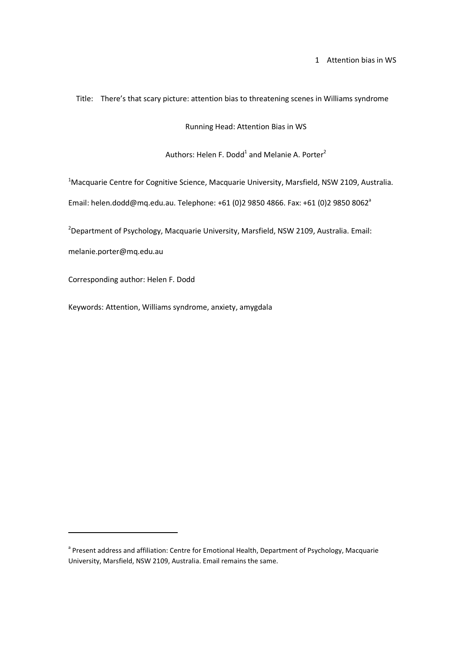1 Attention bias in WS

Title: There's that scary picture: attention bias to threatening scenes in Williams syndrome

Running Head: Attention Bias in WS

Authors: Helen F. Dodd<sup>1</sup> and Melanie A. Porter<sup>2</sup>

<sup>1</sup>Macquarie Centre for Cognitive Science, Macquarie University, Marsfield, NSW 2109, Australia.

Email: helen.dodd@mq.edu.au. Telephone: +61 (0)2 9850 4866. Fax: +61 (0)2 9850 8062<sup>a</sup>

 $2D$ epartment of Psychology, Macquarie University, Marsfield, NSW 2109, Australia. Email:

melanie.porter@mq.edu.au

<u>.</u>

Corresponding author: Helen F. Dodd

Keywords: Attention, Williams syndrome, anxiety, amygdala

<sup>&</sup>lt;sup>a</sup> Present address and affiliation: Centre for Emotional Health, Department of Psychology, Macquarie University, Marsfield, NSW 2109, Australia. Email remains the same.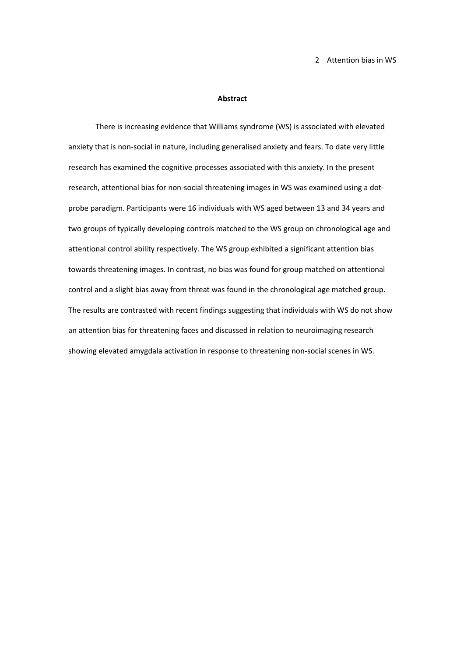2 Attention bias in WS

#### **Abstract**

There is increasing evidence that Williams syndrome (WS) is associated with elevated anxiety that is non-social in nature, including generalised anxiety and fears. To date very little research has examined the cognitive processes associated with this anxiety. In the present research, attentional bias for non-social threatening images in WS was examined using a dotprobe paradigm. Participants were 16 individuals with WS aged between 13 and 34 years and two groups of typically developing controls matched to the WS group on chronological age and attentional control ability respectively. The WS group exhibited a significant attention bias towards threatening images. In contrast, no bias was found for group matched on attentional control and a slight bias away from threat was found in the chronological age matched group. The results are contrasted with recent findings suggesting that individuals with WS do not show an attention bias for threatening faces and discussed in relation to neuroimaging research showing elevated amygdala activation in response to threatening non-social scenes in WS.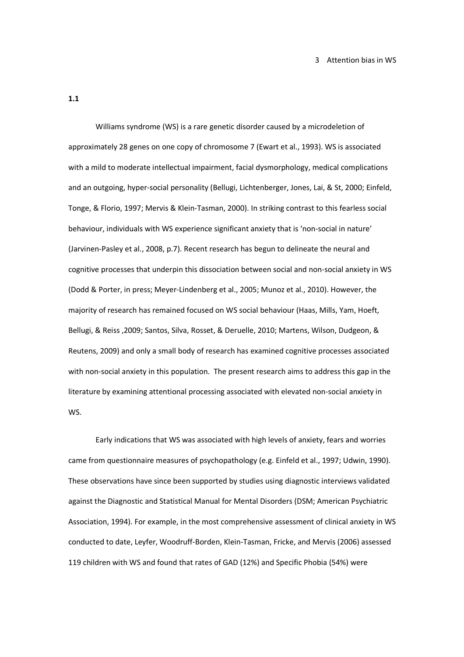**1.1** 

 Williams syndrome (WS) is a rare genetic disorder caused by a microdeletion of approximately 28 genes on one copy of chromosome 7 (Ewart et al., 1993). WS is associated with a mild to moderate intellectual impairment, facial dysmorphology, medical complications and an outgoing, hyper-social personality (Bellugi, Lichtenberger, Jones, Lai, & St, 2000; Einfeld, Tonge, & Florio, 1997; Mervis & Klein-Tasman, 2000). In striking contrast to this fearless social behaviour, individuals with WS experience significant anxiety that is 'non-social in nature' (Jarvinen-Pasley et al., 2008, p.7). Recent research has begun to delineate the neural and cognitive processes that underpin this dissociation between social and non-social anxiety in WS (Dodd & Porter, in press; Meyer-Lindenberg et al., 2005; Munoz et al., 2010). However, the majority of research has remained focused on WS social behaviour (Haas, Mills, Yam, Hoeft, Bellugi, & Reiss ,2009; Santos, Silva, Rosset, & Deruelle, 2010; Martens, Wilson, Dudgeon, & Reutens, 2009) and only a small body of research has examined cognitive processes associated with non-social anxiety in this population. The present research aims to address this gap in the literature by examining attentional processing associated with elevated non-social anxiety in WS.

Early indications that WS was associated with high levels of anxiety, fears and worries came from questionnaire measures of psychopathology (e.g. Einfeld et al., 1997; Udwin, 1990). These observations have since been supported by studies using diagnostic interviews validated against the Diagnostic and Statistical Manual for Mental Disorders (DSM; American Psychiatric Association, 1994). For example, in the most comprehensive assessment of clinical anxiety in WS conducted to date, Leyfer, Woodruff-Borden, Klein-Tasman, Fricke, and Mervis (2006) assessed 119 children with WS and found that rates of GAD (12%) and Specific Phobia (54%) were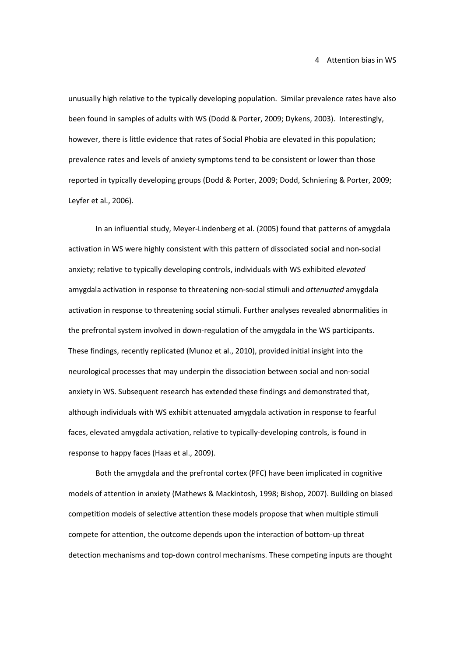unusually high relative to the typically developing population. Similar prevalence rates have also been found in samples of adults with WS (Dodd & Porter, 2009; Dykens, 2003). Interestingly, however, there is little evidence that rates of Social Phobia are elevated in this population; prevalence rates and levels of anxiety symptoms tend to be consistent or lower than those reported in typically developing groups (Dodd & Porter, 2009; Dodd, Schniering & Porter, 2009; Leyfer et al., 2006).

In an influential study, Meyer-Lindenberg et al. (2005) found that patterns of amygdala activation in WS were highly consistent with this pattern of dissociated social and non-social anxiety; relative to typically developing controls, individuals with WS exhibited *elevated* amygdala activation in response to threatening non-social stimuli and *attenuated* amygdala activation in response to threatening social stimuli. Further analyses revealed abnormalities in the prefrontal system involved in down-regulation of the amygdala in the WS participants. These findings, recently replicated (Munoz et al., 2010), provided initial insight into the neurological processes that may underpin the dissociation between social and non-social anxiety in WS. Subsequent research has extended these findings and demonstrated that, although individuals with WS exhibit attenuated amygdala activation in response to fearful faces, elevated amygdala activation, relative to typically-developing controls, is found in response to happy faces (Haas et al., 2009).

Both the amygdala and the prefrontal cortex (PFC) have been implicated in cognitive models of attention in anxiety (Mathews & Mackintosh, 1998; Bishop, 2007). Building on biased competition models of selective attention these models propose that when multiple stimuli compete for attention, the outcome depends upon the interaction of bottom-up threat detection mechanisms and top-down control mechanisms. These competing inputs are thought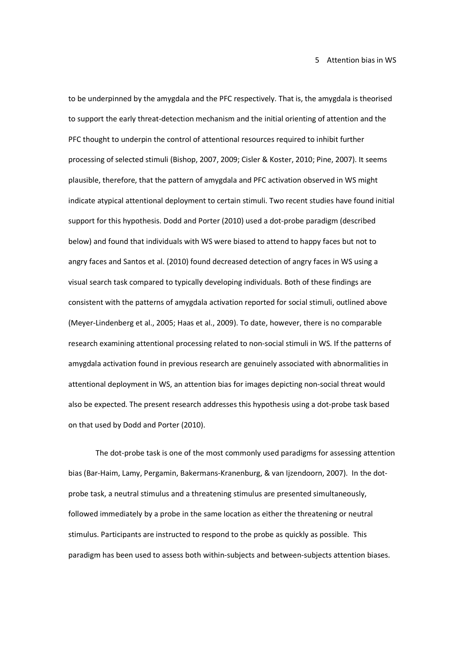to be underpinned by the amygdala and the PFC respectively. That is, the amygdala is theorised to support the early threat-detection mechanism and the initial orienting of attention and the PFC thought to underpin the control of attentional resources required to inhibit further processing of selected stimuli (Bishop, 2007, 2009; Cisler & Koster, 2010; Pine, 2007). It seems plausible, therefore, that the pattern of amygdala and PFC activation observed in WS might indicate atypical attentional deployment to certain stimuli. Two recent studies have found initial support for this hypothesis. Dodd and Porter (2010) used a dot-probe paradigm (described below) and found that individuals with WS were biased to attend to happy faces but not to angry faces and Santos et al. (2010) found decreased detection of angry faces in WS using a visual search task compared to typically developing individuals. Both of these findings are consistent with the patterns of amygdala activation reported for social stimuli, outlined above (Meyer-Lindenberg et al., 2005; Haas et al., 2009). To date, however, there is no comparable research examining attentional processing related to non-social stimuli in WS. If the patterns of amygdala activation found in previous research are genuinely associated with abnormalities in attentional deployment in WS, an attention bias for images depicting non-social threat would also be expected. The present research addresses this hypothesis using a dot-probe task based on that used by Dodd and Porter (2010).

The dot-probe task is one of the most commonly used paradigms for assessing attention bias (Bar-Haim, Lamy, Pergamin, Bakermans-Kranenburg, & van Ijzendoorn, 2007). In the dotprobe task, a neutral stimulus and a threatening stimulus are presented simultaneously, followed immediately by a probe in the same location as either the threatening or neutral stimulus. Participants are instructed to respond to the probe as quickly as possible. This paradigm has been used to assess both within-subjects and between-subjects attention biases.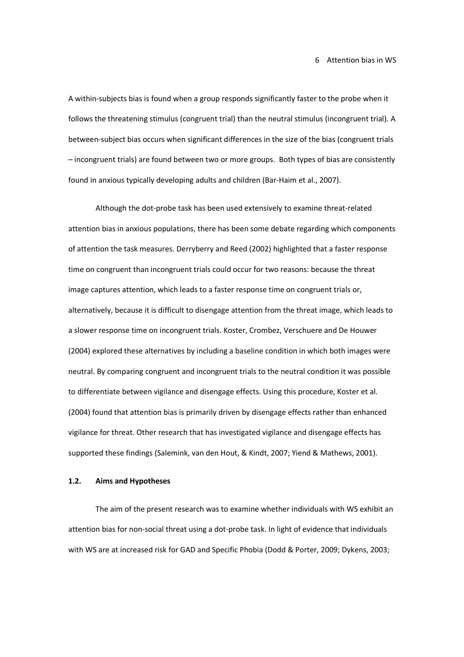A within-subjects bias is found when a group responds significantly faster to the probe when it follows the threatening stimulus (congruent trial) than the neutral stimulus (incongruent trial). A between-subject bias occurs when significant differences in the size of the bias (congruent trials – incongruent trials) are found between two or more groups. Both types of bias are consistently found in anxious typically developing adults and children (Bar-Haim et al., 2007).

Although the dot-probe task has been used extensively to examine threat-related attention bias in anxious populations, there has been some debate regarding which components of attention the task measures. Derryberry and Reed (2002) highlighted that a faster response time on congruent than incongruent trials could occur for two reasons: because the threat image captures attention, which leads to a faster response time on congruent trials or, alternatively, because it is difficult to disengage attention from the threat image, which leads to a slower response time on incongruent trials. Koster, Crombez, Verschuere and De Houwer (2004) explored these alternatives by including a baseline condition in which both images were neutral. By comparing congruent and incongruent trials to the neutral condition it was possible to differentiate between vigilance and disengage effects. Using this procedure, Koster et al. (2004) found that attention bias is primarily driven by disengage effects rather than enhanced vigilance for threat. Other research that has investigated vigilance and disengage effects has supported these findings (Salemink, van den Hout, & Kindt, 2007; Yiend & Mathews, 2001).

# **1.2. Aims and Hypotheses**

The aim of the present research was to examine whether individuals with WS exhibit an attention bias for non-social threat using a dot-probe task. In light of evidence that individuals with WS are at increased risk for GAD and Specific Phobia (Dodd & Porter, 2009; Dykens, 2003;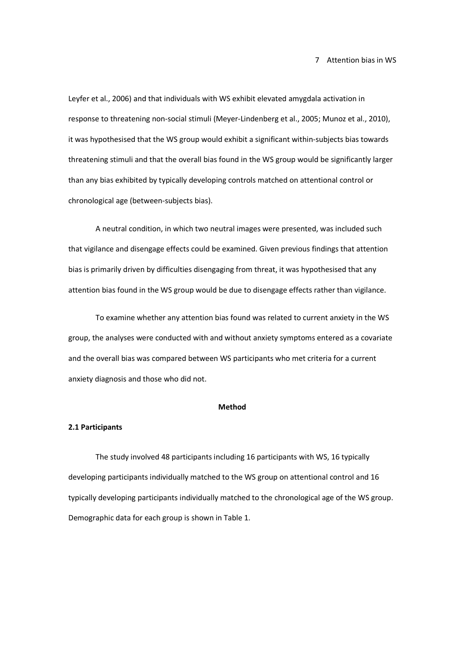Leyfer et al., 2006) and that individuals with WS exhibit elevated amygdala activation in response to threatening non-social stimuli (Meyer-Lindenberg et al., 2005; Munoz et al., 2010), it was hypothesised that the WS group would exhibit a significant within-subjects bias towards threatening stimuli and that the overall bias found in the WS group would be significantly larger than any bias exhibited by typically developing controls matched on attentional control or chronological age (between-subjects bias).

A neutral condition, in which two neutral images were presented, was included such that vigilance and disengage effects could be examined. Given previous findings that attention bias is primarily driven by difficulties disengaging from threat, it was hypothesised that any attention bias found in the WS group would be due to disengage effects rather than vigilance.

To examine whether any attention bias found was related to current anxiety in the WS group, the analyses were conducted with and without anxiety symptoms entered as a covariate and the overall bias was compared between WS participants who met criteria for a current anxiety diagnosis and those who did not.

## **Method**

# **2.1 Participants**

The study involved 48 participants including 16 participants with WS, 16 typically developing participants individually matched to the WS group on attentional control and 16 typically developing participants individually matched to the chronological age of the WS group. Demographic data for each group is shown in Table 1.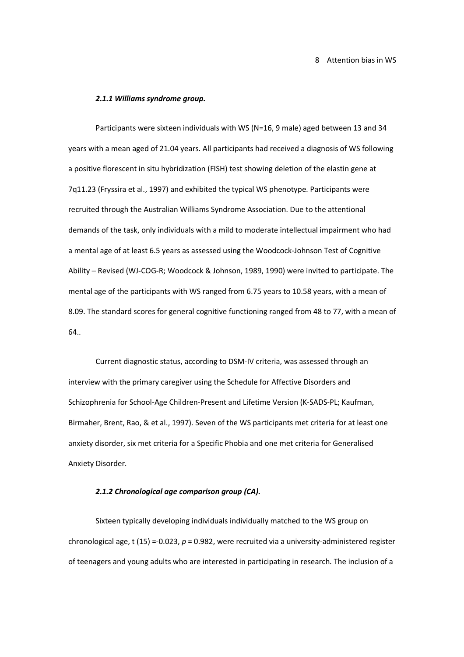8 Attention bias in WS

#### *2.1.1 Williams syndrome group.*

Participants were sixteen individuals with WS (N=16, 9 male) aged between 13 and 34 years with a mean aged of 21.04 years. All participants had received a diagnosis of WS following a positive florescent in situ hybridization (FISH) test showing deletion of the elastin gene at 7q11.23 (Fryssira et al., 1997) and exhibited the typical WS phenotype. Participants were recruited through the Australian Williams Syndrome Association. Due to the attentional demands of the task, only individuals with a mild to moderate intellectual impairment who had a mental age of at least 6.5 years as assessed using the Woodcock-Johnson Test of Cognitive Ability – Revised (WJ-COG-R; Woodcock & Johnson, 1989, 1990) were invited to participate. The mental age of the participants with WS ranged from 6.75 years to 10.58 years, with a mean of 8.09. The standard scores for general cognitive functioning ranged from 48 to 77, with a mean of 64..

Current diagnostic status, according to DSM-IV criteria, was assessed through an interview with the primary caregiver using the Schedule for Affective Disorders and Schizophrenia for School-Age Children-Present and Lifetime Version (K-SADS-PL; Kaufman, Birmaher, Brent, Rao, & et al., 1997). Seven of the WS participants met criteria for at least one anxiety disorder, six met criteria for a Specific Phobia and one met criteria for Generalised Anxiety Disorder.

#### *2.1.2 Chronological age comparison group (CA).*

Sixteen typically developing individuals individually matched to the WS group on chronological age, t (15) =-0.023, *p* = 0.982, were recruited via a university-administered register of teenagers and young adults who are interested in participating in research. The inclusion of a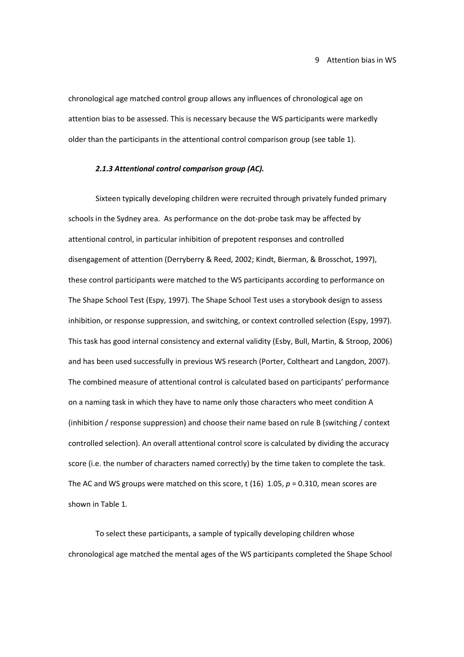#### 9 Attention bias in WS

chronological age matched control group allows any influences of chronological age on attention bias to be assessed. This is necessary because the WS participants were markedly older than the participants in the attentional control comparison group (see table 1).

# *2.1.3 Attentional control comparison group (AC).*

Sixteen typically developing children were recruited through privately funded primary schools in the Sydney area. As performance on the dot-probe task may be affected by attentional control, in particular inhibition of prepotent responses and controlled disengagement of attention (Derryberry & Reed, 2002; Kindt, Bierman, & Brosschot, 1997), these control participants were matched to the WS participants according to performance on The Shape School Test (Espy, 1997). The Shape School Test uses a storybook design to assess inhibition, or response suppression, and switching, or context controlled selection (Espy, 1997). This task has good internal consistency and external validity (Esby, Bull, Martin, & Stroop, 2006) and has been used successfully in previous WS research (Porter, Coltheart and Langdon, 2007). The combined measure of attentional control is calculated based on participants' performance on a naming task in which they have to name only those characters who meet condition A (inhibition / response suppression) and choose their name based on rule B (switching / context controlled selection). An overall attentional control score is calculated by dividing the accuracy score (i.e. the number of characters named correctly) by the time taken to complete the task. The AC and WS groups were matched on this score, t (16) 1.05, *p* = 0.310, mean scores are shown in Table 1.

To select these participants, a sample of typically developing children whose chronological age matched the mental ages of the WS participants completed the Shape School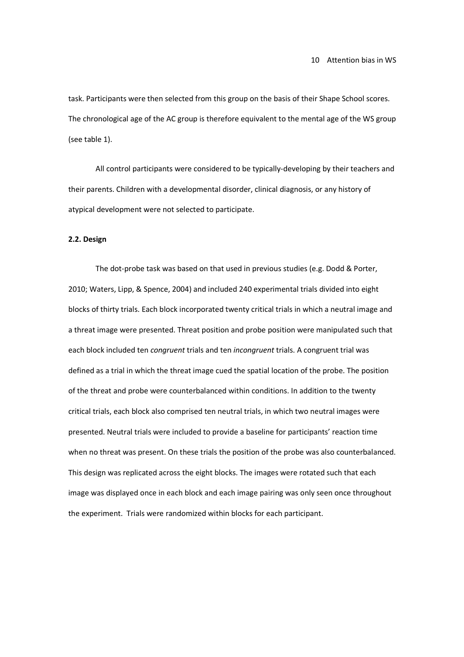task. Participants were then selected from this group on the basis of their Shape School scores. The chronological age of the AC group is therefore equivalent to the mental age of the WS group (see table 1).

All control participants were considered to be typically-developing by their teachers and their parents. Children with a developmental disorder, clinical diagnosis, or any history of atypical development were not selected to participate.

#### **2.2. Design**

The dot-probe task was based on that used in previous studies (e.g. Dodd & Porter, 2010; Waters, Lipp, & Spence, 2004) and included 240 experimental trials divided into eight blocks of thirty trials. Each block incorporated twenty critical trials in which a neutral image and a threat image were presented. Threat position and probe position were manipulated such that each block included ten *congruent* trials and ten *incongruent* trials. A congruent trial was defined as a trial in which the threat image cued the spatial location of the probe. The position of the threat and probe were counterbalanced within conditions. In addition to the twenty critical trials, each block also comprised ten neutral trials, in which two neutral images were presented. Neutral trials were included to provide a baseline for participants' reaction time when no threat was present. On these trials the position of the probe was also counterbalanced. This design was replicated across the eight blocks. The images were rotated such that each image was displayed once in each block and each image pairing was only seen once throughout the experiment. Trials were randomized within blocks for each participant.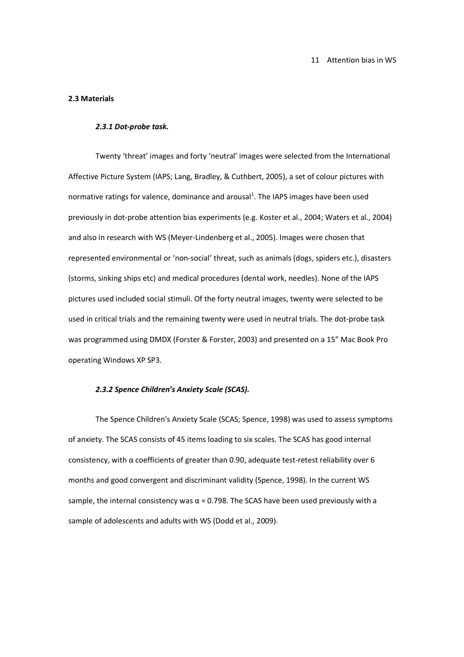#### **2.3 Materials**

#### *2.3.1 Dot-probe task.*

Twenty 'threat' images and forty 'neutral' images were selected from the International Affective Picture System (IAPS; Lang, Bradley, & Cuthbert, 2005), a set of colour pictures with normative ratings for valence, dominance and arousal<sup>1</sup>. The IAPS images have been used previously in dot-probe attention bias experiments (e.g. Koster et al., 2004; Waters et al., 2004) and also in research with WS (Meyer-Lindenberg et al., 2005). Images were chosen that represented environmental or 'non-social' threat, such as animals (dogs, spiders etc.), disasters (storms, sinking ships etc) and medical procedures (dental work, needles). None of the IAPS pictures used included social stimuli. Of the forty neutral images, twenty were selected to be used in critical trials and the remaining twenty were used in neutral trials. The dot-probe task was programmed using DMDX (Forster & Forster, 2003) and presented on a 15" Mac Book Pro operating Windows XP SP3.

### *2.3.2 Spence Children's Anxiety Scale (SCAS).*

The Spence Children's Anxiety Scale (SCAS; Spence, 1998) was used to assess symptoms of anxiety. The SCAS consists of 45 items loading to six scales. The SCAS has good internal consistency, with α coefficients of greater than 0.90, adequate test-retest reliability over 6 months and good convergent and discriminant validity (Spence, 1998). In the current WS sample, the internal consistency was  $\alpha$  = 0.798. The SCAS have been used previously with a sample of adolescents and adults with WS (Dodd et al., 2009).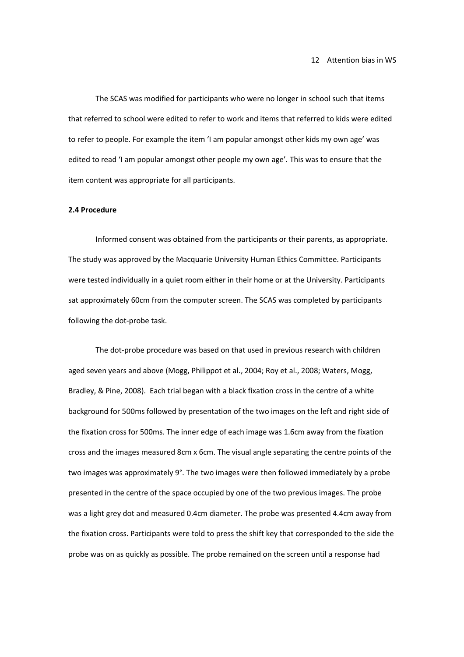The SCAS was modified for participants who were no longer in school such that items that referred to school were edited to refer to work and items that referred to kids were edited to refer to people. For example the item 'I am popular amongst other kids my own age' was edited to read 'I am popular amongst other people my own age'. This was to ensure that the item content was appropriate for all participants.

#### **2.4 Procedure**

Informed consent was obtained from the participants or their parents, as appropriate. The study was approved by the Macquarie University Human Ethics Committee. Participants were tested individually in a quiet room either in their home or at the University. Participants sat approximately 60cm from the computer screen. The SCAS was completed by participants following the dot-probe task.

The dot-probe procedure was based on that used in previous research with children aged seven years and above (Mogg, Philippot et al., 2004; Roy et al., 2008; Waters, Mogg, Bradley, & Pine, 2008). Each trial began with a black fixation cross in the centre of a white background for 500ms followed by presentation of the two images on the left and right side of the fixation cross for 500ms. The inner edge of each image was 1.6cm away from the fixation cross and the images measured 8cm x 6cm. The visual angle separating the centre points of the two images was approximately 9°. The two images were then followed immediately by a probe presented in the centre of the space occupied by one of the two previous images. The probe was a light grey dot and measured 0.4cm diameter. The probe was presented 4.4cm away from the fixation cross. Participants were told to press the shift key that corresponded to the side the probe was on as quickly as possible. The probe remained on the screen until a response had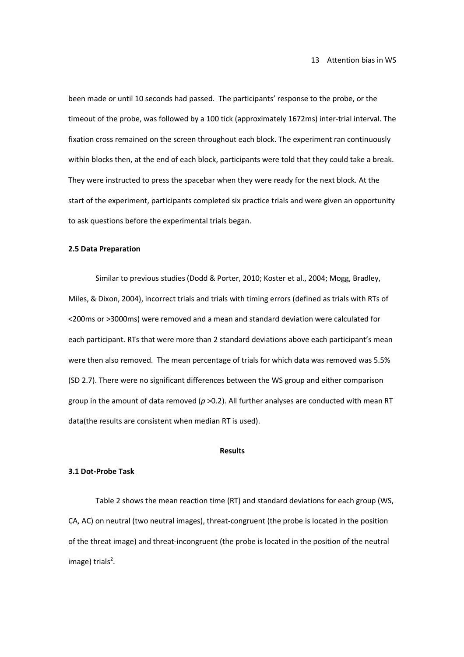been made or until 10 seconds had passed. The participants' response to the probe, or the timeout of the probe, was followed by a 100 tick (approximately 1672ms) inter-trial interval. The fixation cross remained on the screen throughout each block. The experiment ran continuously within blocks then, at the end of each block, participants were told that they could take a break. They were instructed to press the spacebar when they were ready for the next block. At the start of the experiment, participants completed six practice trials and were given an opportunity to ask questions before the experimental trials began.

#### **2.5 Data Preparation**

Similar to previous studies (Dodd & Porter, 2010; Koster et al., 2004; Mogg, Bradley, Miles, & Dixon, 2004), incorrect trials and trials with timing errors (defined as trials with RTs of <200ms or >3000ms) were removed and a mean and standard deviation were calculated for each participant. RTs that were more than 2 standard deviations above each participant's mean were then also removed. The mean percentage of trials for which data was removed was 5.5% (SD 2.7). There were no significant differences between the WS group and either comparison group in the amount of data removed (*p* >0.2). All further analyses are conducted with mean RT data(the results are consistent when median RT is used).

# **Results**

#### **3.1 Dot-Probe Task**

Table 2 shows the mean reaction time (RT) and standard deviations for each group (WS, CA, AC) on neutral (two neutral images), threat-congruent (the probe is located in the position of the threat image) and threat-incongruent (the probe is located in the position of the neutral image) trials<sup>2</sup>.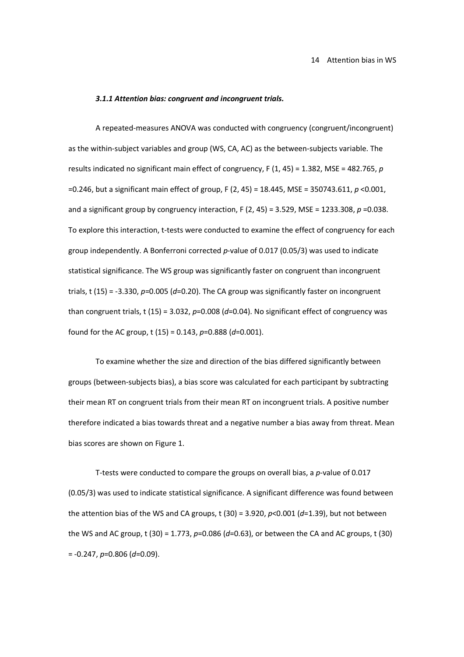#### *3.1.1 Attention bias: congruent and incongruent trials.*

A repeated-measures ANOVA was conducted with congruency (congruent/incongruent) as the within-subject variables and group (WS, CA, AC) as the between-subjects variable. The results indicated no significant main effect of congruency, F (1, 45) = 1.382, MSE = 482.765, *p*  =0.246, but a significant main effect of group, F (2, 45) = 18.445, MSE = 350743.611, *p* <0.001, and a significant group by congruency interaction, F (2, 45) = 3.529, MSE = 1233.308, *p* =0.038. To explore this interaction, t-tests were conducted to examine the effect of congruency for each group independently. A Bonferroni corrected *p*-value of 0.017 (0.05/3) was used to indicate statistical significance. The WS group was significantly faster on congruent than incongruent trials, t (15) = -3.330, *p*=0.005 (*d*=0.20). The CA group was significantly faster on incongruent than congruent trials, t  $(15) = 3.032$ ,  $p=0.008$   $(d=0.04)$ . No significant effect of congruency was found for the AC group, t (15) = 0.143, *p*=0.888 (*d*=0.001).

To examine whether the size and direction of the bias differed significantly between groups (between-subjects bias), a bias score was calculated for each participant by subtracting their mean RT on congruent trials from their mean RT on incongruent trials. A positive number therefore indicated a bias towards threat and a negative number a bias away from threat. Mean bias scores are shown on Figure 1.

T-tests were conducted to compare the groups on overall bias, a *p*-value of 0.017 (0.05/3) was used to indicate statistical significance. A significant difference was found between the attention bias of the WS and CA groups, t (30) = 3.920, *p*<0.001 (*d*=1.39), but not between the WS and AC group, t (30) = 1.773, *p*=0.086 (*d*=0.63), or between the CA and AC groups, t (30) = -0.247, *p*=0.806 (*d*=0.09).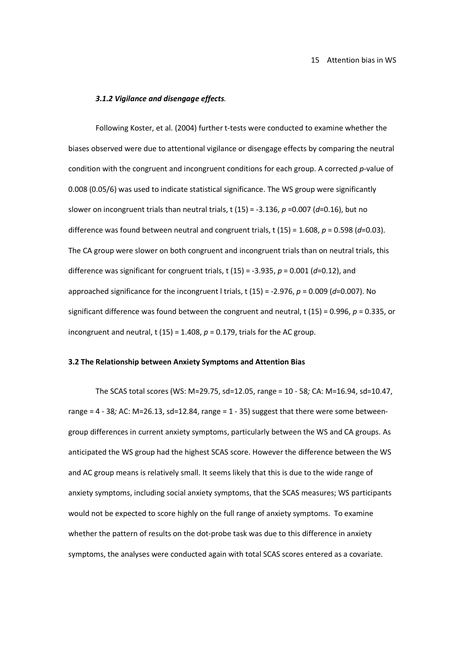#### *3.1.2 Vigilance and disengage effects.*

Following Koster, et al. (2004) further t-tests were conducted to examine whether the biases observed were due to attentional vigilance or disengage effects by comparing the neutral condition with the congruent and incongruent conditions for each group. A corrected *p*-value of 0.008 (0.05/6) was used to indicate statistical significance. The WS group were significantly slower on incongruent trials than neutral trials, t (15) = -3.136, *p* =0.007 (*d*=0.16), but no difference was found between neutral and congruent trials, t (15) = 1.608, *p* = 0.598 (*d*=0.03). The CA group were slower on both congruent and incongruent trials than on neutral trials, this difference was significant for congruent trials, t (15) = -3.935, *p* = 0.001 (*d*=0.12), and approached significance for the incongruent l trials, t (15) = -2.976, *p* = 0.009 (*d*=0.007). No significant difference was found between the congruent and neutral, t (15) = 0.996, *p* = 0.335, or incongruent and neutral, t (15) = 1.408,  $p = 0.179$ , trials for the AC group.

# **3.2 The Relationship between Anxiety Symptoms and Attention Bias**

The SCAS total scores (WS: M=29.75, sd=12.05, range = 10 - 58*;* CA: M=16.94, sd=10.47, range = 4 - 38*;* AC: M=26.13, sd=12.84, range = 1 - 35) suggest that there were some betweengroup differences in current anxiety symptoms, particularly between the WS and CA groups. As anticipated the WS group had the highest SCAS score. However the difference between the WS and AC group means is relatively small. It seems likely that this is due to the wide range of anxiety symptoms, including social anxiety symptoms, that the SCAS measures; WS participants would not be expected to score highly on the full range of anxiety symptoms. To examine whether the pattern of results on the dot-probe task was due to this difference in anxiety symptoms, the analyses were conducted again with total SCAS scores entered as a covariate.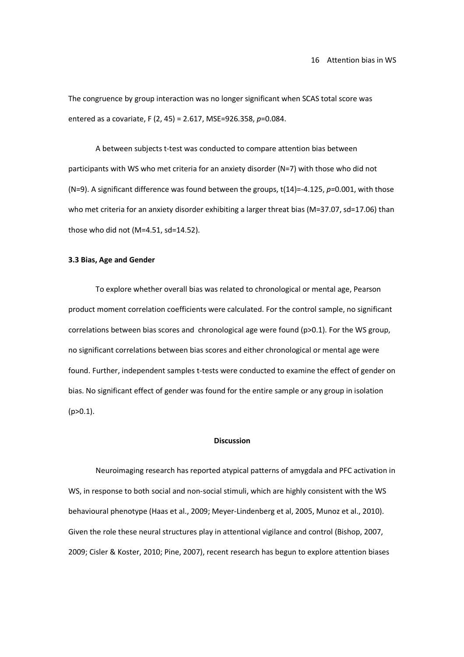The congruence by group interaction was no longer significant when SCAS total score was entered as a covariate, F (2, 45) = 2.617, MSE=926.358, *p*=0.084.

A between subjects t-test was conducted to compare attention bias between participants with WS who met criteria for an anxiety disorder (N=7) with those who did not (N=9). A significant difference was found between the groups, t(14)=-4.125, *p=*0.001, with those who met criteria for an anxiety disorder exhibiting a larger threat bias (M=37.07, sd=17.06) than those who did not (M=4.51, sd=14.52).

# **3.3 Bias, Age and Gender**

To explore whether overall bias was related to chronological or mental age, Pearson product moment correlation coefficients were calculated. For the control sample, no significant correlations between bias scores and chronological age were found (p>0.1). For the WS group, no significant correlations between bias scores and either chronological or mental age were found. Further, independent samples t-tests were conducted to examine the effect of gender on bias. No significant effect of gender was found for the entire sample or any group in isolation  $(p>0.1)$ .

# **Discussion**

Neuroimaging research has reported atypical patterns of amygdala and PFC activation in WS, in response to both social and non-social stimuli, which are highly consistent with the WS behavioural phenotype (Haas et al., 2009; Meyer-Lindenberg et al, 2005, Munoz et al., 2010). Given the role these neural structures play in attentional vigilance and control (Bishop, 2007, 2009; Cisler & Koster, 2010; Pine, 2007), recent research has begun to explore attention biases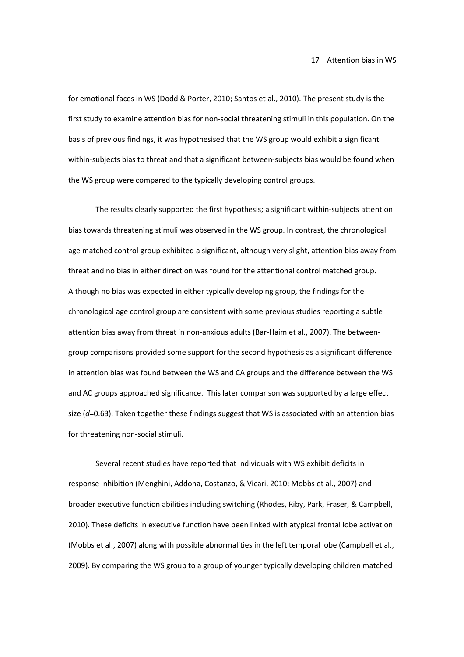for emotional faces in WS (Dodd & Porter, 2010; Santos et al., 2010). The present study is the first study to examine attention bias for non-social threatening stimuli in this population. On the basis of previous findings, it was hypothesised that the WS group would exhibit a significant within-subjects bias to threat and that a significant between-subjects bias would be found when the WS group were compared to the typically developing control groups.

The results clearly supported the first hypothesis; a significant within-subjects attention bias towards threatening stimuli was observed in the WS group. In contrast, the chronological age matched control group exhibited a significant, although very slight, attention bias away from threat and no bias in either direction was found for the attentional control matched group. Although no bias was expected in either typically developing group, the findings for the chronological age control group are consistent with some previous studies reporting a subtle attention bias away from threat in non-anxious adults (Bar-Haim et al., 2007). The betweengroup comparisons provided some support for the second hypothesis as a significant difference in attention bias was found between the WS and CA groups and the difference between the WS and AC groups approached significance. This later comparison was supported by a large effect size (*d*=0.63). Taken together these findings suggest that WS is associated with an attention bias for threatening non-social stimuli.

Several recent studies have reported that individuals with WS exhibit deficits in response inhibition (Menghini, Addona, Costanzo, & Vicari, 2010; Mobbs et al., 2007) and broader executive function abilities including switching (Rhodes, Riby, Park, Fraser, & Campbell, 2010). These deficits in executive function have been linked with atypical frontal lobe activation (Mobbs et al., 2007) along with possible abnormalities in the left temporal lobe (Campbell et al., 2009). By comparing the WS group to a group of younger typically developing children matched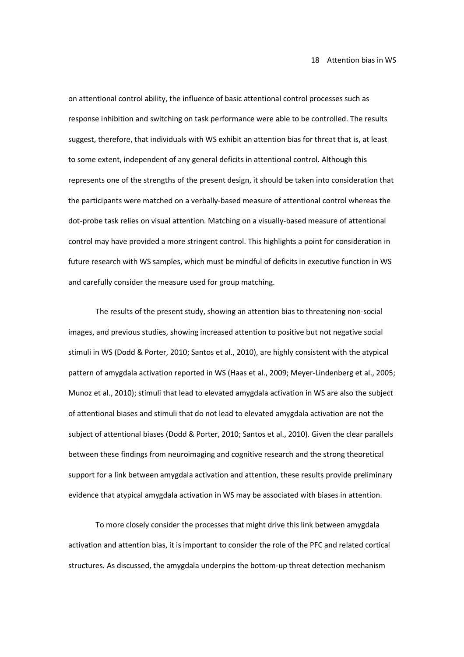on attentional control ability, the influence of basic attentional control processes such as response inhibition and switching on task performance were able to be controlled. The results suggest, therefore, that individuals with WS exhibit an attention bias for threat that is, at least to some extent, independent of any general deficits in attentional control. Although this represents one of the strengths of the present design, it should be taken into consideration that the participants were matched on a verbally-based measure of attentional control whereas the dot-probe task relies on visual attention. Matching on a visually-based measure of attentional control may have provided a more stringent control. This highlights a point for consideration in future research with WS samples, which must be mindful of deficits in executive function in WS and carefully consider the measure used for group matching.

The results of the present study, showing an attention bias to threatening non-social images, and previous studies, showing increased attention to positive but not negative social stimuli in WS (Dodd & Porter, 2010; Santos et al., 2010), are highly consistent with the atypical pattern of amygdala activation reported in WS (Haas et al., 2009; Meyer-Lindenberg et al., 2005; Munoz et al., 2010); stimuli that lead to elevated amygdala activation in WS are also the subject of attentional biases and stimuli that do not lead to elevated amygdala activation are not the subject of attentional biases (Dodd & Porter, 2010; Santos et al., 2010). Given the clear parallels between these findings from neuroimaging and cognitive research and the strong theoretical support for a link between amygdala activation and attention, these results provide preliminary evidence that atypical amygdala activation in WS may be associated with biases in attention.

To more closely consider the processes that might drive this link between amygdala activation and attention bias, it is important to consider the role of the PFC and related cortical structures. As discussed, the amygdala underpins the bottom-up threat detection mechanism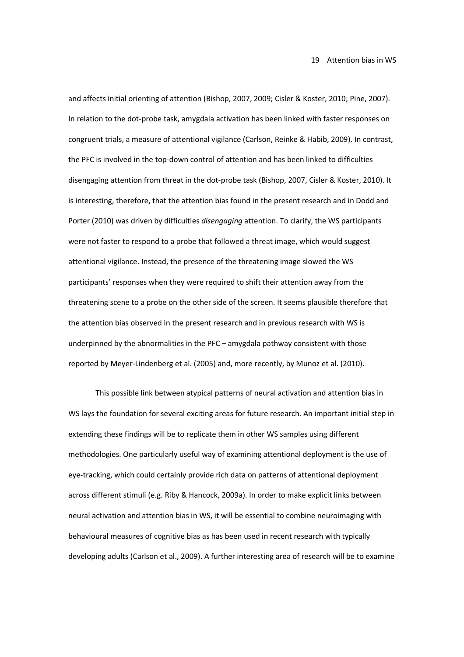and affects initial orienting of attention (Bishop, 2007, 2009; Cisler & Koster, 2010; Pine, 2007). In relation to the dot-probe task, amygdala activation has been linked with faster responses on congruent trials, a measure of attentional vigilance (Carlson, Reinke & Habib, 2009). In contrast, the PFC is involved in the top-down control of attention and has been linked to difficulties disengaging attention from threat in the dot-probe task (Bishop, 2007, Cisler & Koster, 2010). It is interesting, therefore, that the attention bias found in the present research and in Dodd and Porter (2010) was driven by difficulties *disengaging* attention. To clarify, the WS participants were not faster to respond to a probe that followed a threat image, which would suggest attentional vigilance. Instead, the presence of the threatening image slowed the WS participants' responses when they were required to shift their attention away from the threatening scene to a probe on the other side of the screen. It seems plausible therefore that the attention bias observed in the present research and in previous research with WS is underpinned by the abnormalities in the PFC – amygdala pathway consistent with those reported by Meyer-Lindenberg et al. (2005) and, more recently, by Munoz et al. (2010).

This possible link between atypical patterns of neural activation and attention bias in WS lays the foundation for several exciting areas for future research. An important initial step in extending these findings will be to replicate them in other WS samples using different methodologies. One particularly useful way of examining attentional deployment is the use of eye-tracking, which could certainly provide rich data on patterns of attentional deployment across different stimuli (e.g. Riby & Hancock, 2009a). In order to make explicit links between neural activation and attention bias in WS, it will be essential to combine neuroimaging with behavioural measures of cognitive bias as has been used in recent research with typically developing adults (Carlson et al., 2009). A further interesting area of research will be to examine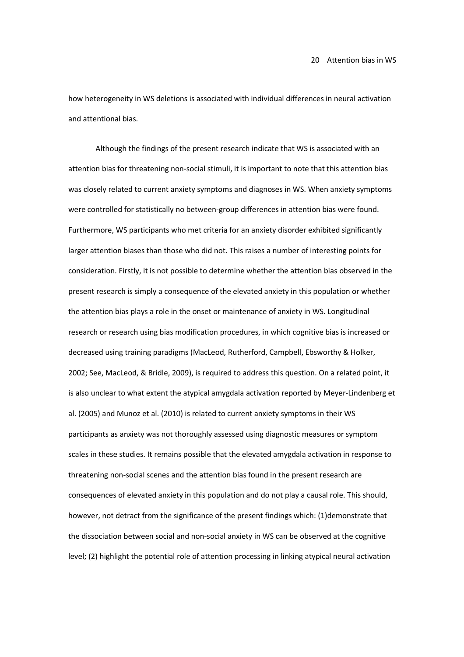how heterogeneity in WS deletions is associated with individual differences in neural activation and attentional bias.

Although the findings of the present research indicate that WS is associated with an attention bias for threatening non-social stimuli, it is important to note that this attention bias was closely related to current anxiety symptoms and diagnoses in WS. When anxiety symptoms were controlled for statistically no between-group differences in attention bias were found. Furthermore, WS participants who met criteria for an anxiety disorder exhibited significantly larger attention biases than those who did not. This raises a number of interesting points for consideration. Firstly, it is not possible to determine whether the attention bias observed in the present research is simply a consequence of the elevated anxiety in this population or whether the attention bias plays a role in the onset or maintenance of anxiety in WS. Longitudinal research or research using bias modification procedures, in which cognitive bias is increased or decreased using training paradigms (MacLeod, Rutherford, Campbell, Ebsworthy & Holker, 2002; See, MacLeod, & Bridle, 2009), is required to address this question. On a related point, it is also unclear to what extent the atypical amygdala activation reported by Meyer-Lindenberg et al. (2005) and Munoz et al. (2010) is related to current anxiety symptoms in their WS participants as anxiety was not thoroughly assessed using diagnostic measures or symptom scales in these studies. It remains possible that the elevated amygdala activation in response to threatening non-social scenes and the attention bias found in the present research are consequences of elevated anxiety in this population and do not play a causal role. This should, however, not detract from the significance of the present findings which: (1)demonstrate that the dissociation between social and non-social anxiety in WS can be observed at the cognitive level; (2) highlight the potential role of attention processing in linking atypical neural activation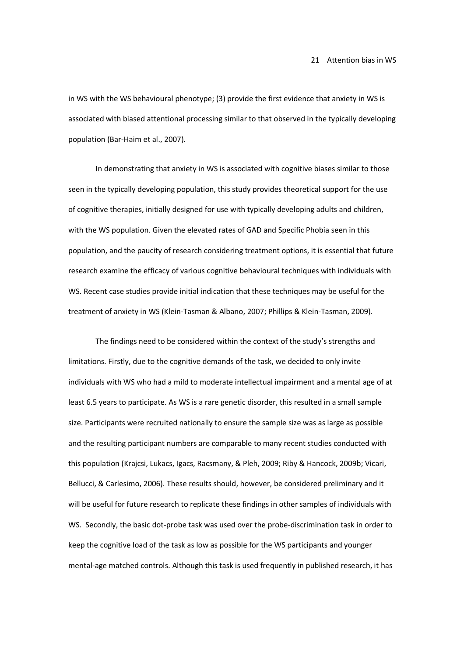in WS with the WS behavioural phenotype; (3) provide the first evidence that anxiety in WS is associated with biased attentional processing similar to that observed in the typically developing population (Bar-Haim et al., 2007).

In demonstrating that anxiety in WS is associated with cognitive biases similar to those seen in the typically developing population, this study provides theoretical support for the use of cognitive therapies, initially designed for use with typically developing adults and children, with the WS population. Given the elevated rates of GAD and Specific Phobia seen in this population, and the paucity of research considering treatment options, it is essential that future research examine the efficacy of various cognitive behavioural techniques with individuals with WS. Recent case studies provide initial indication that these techniques may be useful for the treatment of anxiety in WS (Klein-Tasman & Albano, 2007; Phillips & Klein-Tasman, 2009).

The findings need to be considered within the context of the study's strengths and limitations. Firstly, due to the cognitive demands of the task, we decided to only invite individuals with WS who had a mild to moderate intellectual impairment and a mental age of at least 6.5 years to participate. As WS is a rare genetic disorder, this resulted in a small sample size. Participants were recruited nationally to ensure the sample size was as large as possible and the resulting participant numbers are comparable to many recent studies conducted with this population (Krajcsi, Lukacs, Igacs, Racsmany, & Pleh, 2009; Riby & Hancock, 2009b; Vicari, Bellucci, & Carlesimo, 2006). These results should, however, be considered preliminary and it will be useful for future research to replicate these findings in other samples of individuals with WS. Secondly, the basic dot-probe task was used over the probe-discrimination task in order to keep the cognitive load of the task as low as possible for the WS participants and younger mental-age matched controls. Although this task is used frequently in published research, it has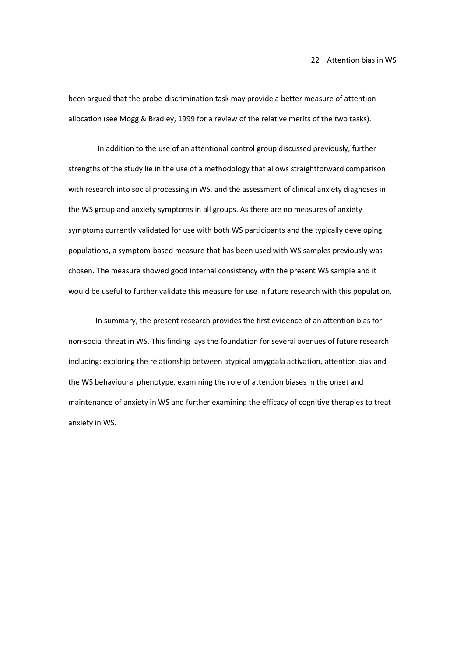been argued that the probe-discrimination task may provide a better measure of attention allocation (see Mogg & Bradley, 1999 for a review of the relative merits of the two tasks).

 In addition to the use of an attentional control group discussed previously, further strengths of the study lie in the use of a methodology that allows straightforward comparison with research into social processing in WS, and the assessment of clinical anxiety diagnoses in the WS group and anxiety symptoms in all groups. As there are no measures of anxiety symptoms currently validated for use with both WS participants and the typically developing populations, a symptom-based measure that has been used with WS samples previously was chosen. The measure showed good internal consistency with the present WS sample and it would be useful to further validate this measure for use in future research with this population.

In summary, the present research provides the first evidence of an attention bias for non-social threat in WS. This finding lays the foundation for several avenues of future research including: exploring the relationship between atypical amygdala activation, attention bias and the WS behavioural phenotype, examining the role of attention biases in the onset and maintenance of anxiety in WS and further examining the efficacy of cognitive therapies to treat anxiety in WS.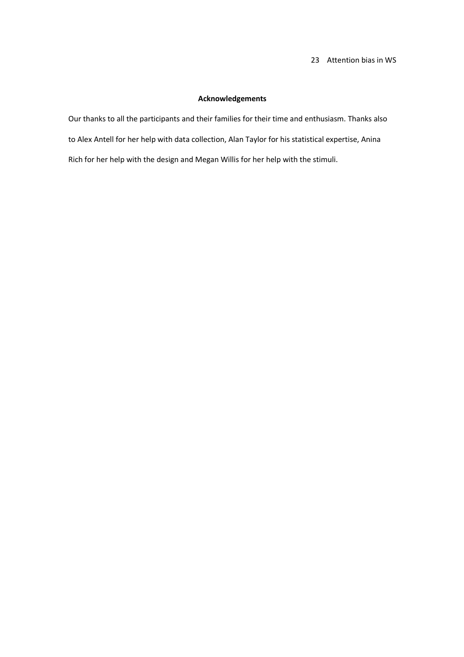# 23 Attention bias in WS

# **Acknowledgements**

Our thanks to all the participants and their families for their time and enthusiasm. Thanks also to Alex Antell for her help with data collection, Alan Taylor for his statistical expertise, Anina Rich for her help with the design and Megan Willis for her help with the stimuli.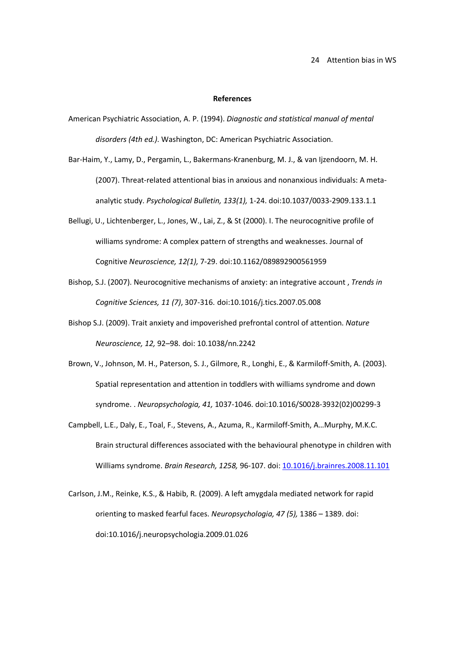#### **References**

- American Psychiatric Association, A. P. (1994). *Diagnostic and statistical manual of mental disorders (4th ed.)*. Washington, DC: American Psychiatric Association.
- Bar-Haim, Y., Lamy, D., Pergamin, L., Bakermans-Kranenburg, M. J., & van Ijzendoorn, M. H. (2007). Threat-related attentional bias in anxious and nonanxious individuals: A metaanalytic study. *Psychological Bulletin, 133(1),* 1-24. doi:10.1037/0033-2909.133.1.1
- Bellugi, U., Lichtenberger, L., Jones, W., Lai, Z., & St (2000). I. The neurocognitive profile of williams syndrome: A complex pattern of strengths and weaknesses. Journal of Cognitive *Neuroscience, 12(1),* 7-29. doi:10.1162/089892900561959
- Bishop, S.J. (2007). Neurocognitive mechanisms of anxiety: an integrative account , *Trends in Cognitive Sciences, 11 (7)*, 307-316. doi:10.1016/j.tics.2007.05.008
- Bishop S.J. (2009). Trait anxiety and impoverished prefrontal control of attention. *Nature Neuroscience, 12,* 92–98. doi: 10.1038/nn.2242
- Brown, V., Johnson, M. H., Paterson, S. J., Gilmore, R., Longhi, E., & Karmiloff-Smith, A. (2003). Spatial representation and attention in toddlers with williams syndrome and down syndrome. . *Neuropsychologia, 41,* 1037-1046. doi:10.1016/S0028-3932(02)00299-3
- Campbell, L.E., Daly, E., Toal, F., Stevens, A., Azuma, R., Karmiloff-Smith, A…Murphy, M.K.C. Brain structural differences associated with the behavioural phenotype in children with Williams syndrome. *Brain Research, 1258,* 96-107. doi: 10.1016/j.brainres.2008.11.101
- Carlson, J.M., Reinke, K.S., & Habib, R. (2009). A left amygdala mediated network for rapid orienting to masked fearful faces. *Neuropsychologia, 47 (5),* 1386 – 1389. doi: doi:10.1016/j.neuropsychologia.2009.01.026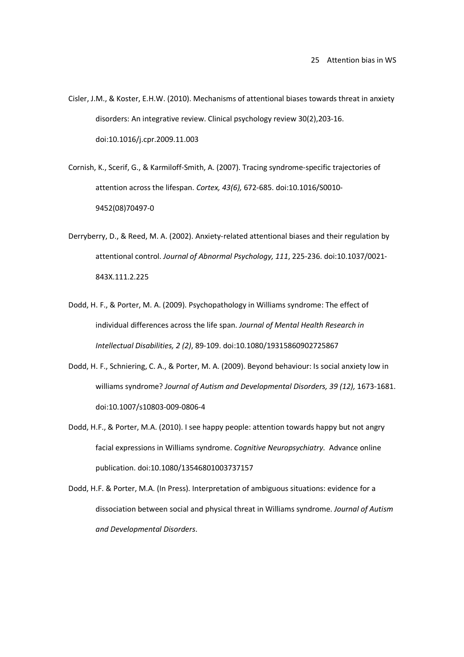- Cisler, J.M., & Koster, E.H.W. (2010). Mechanisms of attentional biases towards threat in anxiety disorders: An integrative review. Clinical psychology review 30(2),203-16. doi:10.1016/j.cpr.2009.11.003
- Cornish, K., Scerif, G., & Karmiloff-Smith, A. (2007). Tracing syndrome-specific trajectories of attention across the lifespan. *Cortex, 43(6),* 672-685. doi:10.1016/S0010- 9452(08)70497-0
- Derryberry, D., & Reed, M. A. (2002). Anxiety-related attentional biases and their regulation by attentional control. *Journal of Abnormal Psychology, 111*, 225-236. doi:10.1037/0021- 843X.111.2.225
- Dodd, H. F., & Porter, M. A. (2009). Psychopathology in Williams syndrome: The effect of individual differences across the life span. *Journal of Mental Health Research in Intellectual Disabilities, 2 (2)*, 89-109. doi:10.1080/19315860902725867
- Dodd, H. F., Schniering, C. A., & Porter, M. A. (2009). Beyond behaviour: Is social anxiety low in williams syndrome? *Journal of Autism and Developmental Disorders, 39 (12),* 1673-1681. doi:10.1007/s10803-009-0806-4
- Dodd, H.F., & Porter, M.A. (2010). I see happy people: attention towards happy but not angry facial expressions in Williams syndrome. *Cognitive Neuropsychiatry*. Advance online publication. doi:10.1080/13546801003737157
- Dodd, H.F. & Porter, M.A. (In Press). Interpretation of ambiguous situations: evidence for a dissociation between social and physical threat in Williams syndrome. *Journal of Autism and Developmental Disorders*.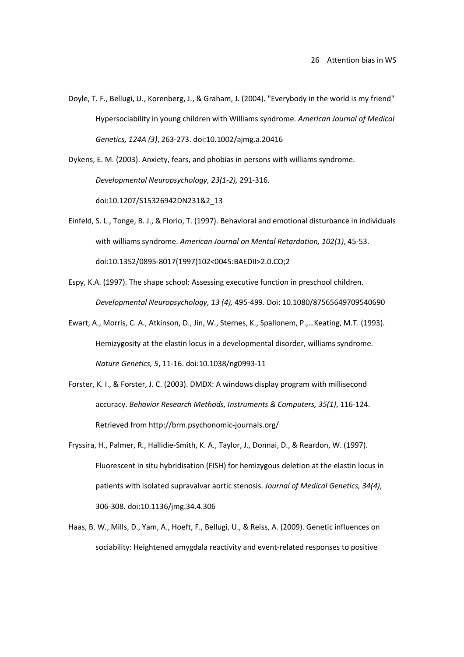- Doyle, T. F., Bellugi, U., Korenberg, J., & Graham, J. (2004). "Everybody in the world is my friend" Hypersociability in young children with Williams syndrome. *American Journal of Medical Genetics, 124A (3)*, 263-273. doi:10.1002/ajmg.a.20416
- Dykens, E. M. (2003). Anxiety, fears, and phobias in persons with williams syndrome. *Developmental Neuropsychology, 23(1-2),* 291-316. doi:10.1207/S15326942DN231&2\_13
- Einfeld, S. L., Tonge, B. J., & Florio, T. (1997). Behavioral and emotional disturbance in individuals with williams syndrome. *American Journal on Mental Retardation, 102(1)*, 45-53. doi:10.1352/0895-8017(1997)102<0045:BAEDII>2.0.CO;2
- Espy, K.A. (1997). The shape school: Assessing executive function in preschool children. *Developmental Neuropsychology, 13 (4),* 495-499. Doi: 10.1080/87565649709540690
- Ewart, A., Morris, C. A., Atkinson, D., Jin, W., Sternes, K., Spallonem, P.,…Keating, M.T. (1993). Hemizygosity at the elastin locus in a developmental disorder, williams syndrome. *Nature Genetics, 5*, 11-16. doi:10.1038/ng0993-11
- Forster, K. I., & Forster, J. C. (2003). DMDX: A windows display program with millisecond accuracy. *Behavior Research Methods, Instruments & Computers, 35(1)*, 116-124. Retrieved from http://brm.psychonomic-journals.org/
- Fryssira, H., Palmer, R., Hallidie-Smith, K. A., Taylor, J., Donnai, D., & Reardon, W. (1997). Fluorescent in situ hybridisation (FISH) for hemizygous deletion at the elastin locus in patients with isolated supravalvar aortic stenosis. *Journal of Medical Genetics, 34(4)*, 306-308. doi:10.1136/jmg.34.4.306
- Haas, B. W., Mills, D., Yam, A., Hoeft, F., Bellugi, U., & Reiss, A. (2009). Genetic influences on sociability: Heightened amygdala reactivity and event-related responses to positive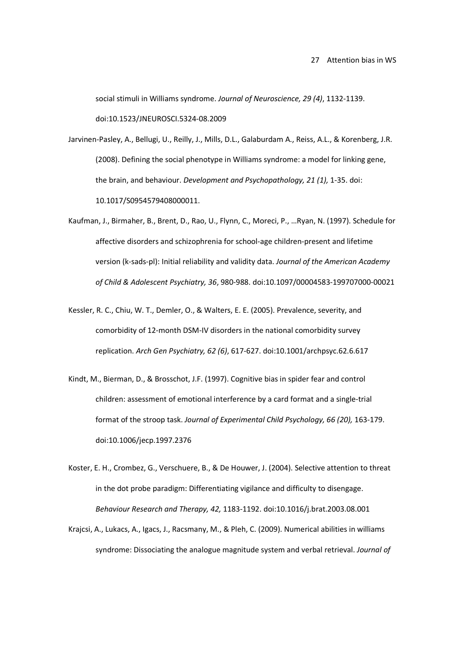social stimuli in Williams syndrome. *Journal of Neuroscience, 29 (4)*, 1132-1139. doi:10.1523/JNEUROSCI.5324-08.2009

Jarvinen-Pasley, A., Bellugi, U., Reilly, J., Mills, D.L., Galaburdam A., Reiss, A.L., & Korenberg, J.R. (2008). Defining the social phenotype in Williams syndrome: a model for linking gene, the brain, and behaviour. *Development and Psychopathology, 21 (1),* 1-35. doi: 10.1017/S0954579408000011.

- Kaufman, J., Birmaher, B., Brent, D., Rao, U., Flynn, C., Moreci, P., …Ryan, N. (1997). Schedule for affective disorders and schizophrenia for school-age children-present and lifetime version (k-sads-pl): Initial reliability and validity data. *Journal of the American Academy of Child & Adolescent Psychiatry, 36*, 980-988. doi:10.1097/00004583-199707000-00021
- Kessler, R. C., Chiu, W. T., Demler, O., & Walters, E. E. (2005). Prevalence, severity, and comorbidity of 12-month DSM-IV disorders in the national comorbidity survey replication. *Arch Gen Psychiatry, 62 (6)*, 617-627. doi:10.1001/archpsyc.62.6.617
- Kindt, M., Bierman, D., & Brosschot, J.F. (1997). Cognitive bias in spider fear and control children: assessment of emotional interference by a card format and a single-trial format of the stroop task. *Journal of Experimental Child Psychology, 66 (20),* 163-179. doi:10.1006/jecp.1997.2376
- Koster, E. H., Crombez, G., Verschuere, B., & De Houwer, J. (2004). Selective attention to threat in the dot probe paradigm: Differentiating vigilance and difficulty to disengage. *Behaviour Research and Therapy, 42,* 1183-1192. doi:10.1016/j.brat.2003.08.001
- Krajcsi, A., Lukacs, A., Igacs, J., Racsmany, M., & Pleh, C. (2009). Numerical abilities in williams syndrome: Dissociating the analogue magnitude system and verbal retrieval. *Journal of*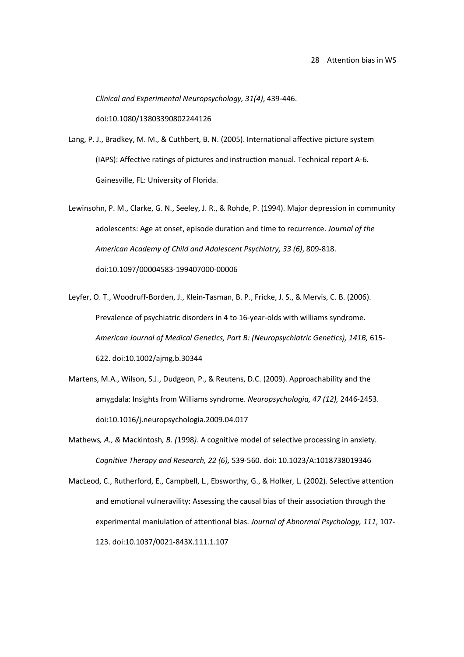*Clinical and Experimental Neuropsychology, 31(4)*, 439-446.

doi:10.1080/13803390802244126

- Lang, P. J., Bradkey, M. M., & Cuthbert, B. N. (2005). International affective picture system (IAPS): Affective ratings of pictures and instruction manual. Technical report A-6. Gainesville, FL: University of Florida.
- Lewinsohn, P. M., Clarke, G. N., Seeley, J. R., & Rohde, P. (1994). Major depression in community adolescents: Age at onset, episode duration and time to recurrence. *Journal of the American Academy of Child and Adolescent Psychiatry, 33 (6)*, 809-818. doi:10.1097/00004583-199407000-00006
- Leyfer, O. T., Woodruff-Borden, J., Klein-Tasman, B. P., Fricke, J. S., & Mervis, C. B. (2006). Prevalence of psychiatric disorders in 4 to 16-year-olds with williams syndrome. *American Journal of Medical Genetics, Part B: (Neuropsychiatric Genetics), 141B,* 615- 622. doi:10.1002/ajmg.b.30344
- Martens, M.A., Wilson, S.J., Dudgeon, P., & Reutens, D.C. (2009). Approachability and the amygdala: Insights from Williams syndrome. *Neuropsychologia, 47 (12),* 2446-2453. doi:10.1016/j.neuropsychologia.2009.04.017
- Mathews*, A., &* Mackintosh*, B. (*1998*).* A cognitive model of selective processing in anxiety. *Cognitive Therapy and Research, 22 (6),* 539-560. doi: 10.1023/A:1018738019346
- MacLeod, C., Rutherford, E., Campbell, L., Ebsworthy, G., & Holker, L. (2002). Selective attention and emotional vulneravility: Assessing the causal bias of their association through the experimental maniulation of attentional bias. *Journal of Abnormal Psychology, 111*, 107- 123. doi:10.1037/0021-843X.111.1.107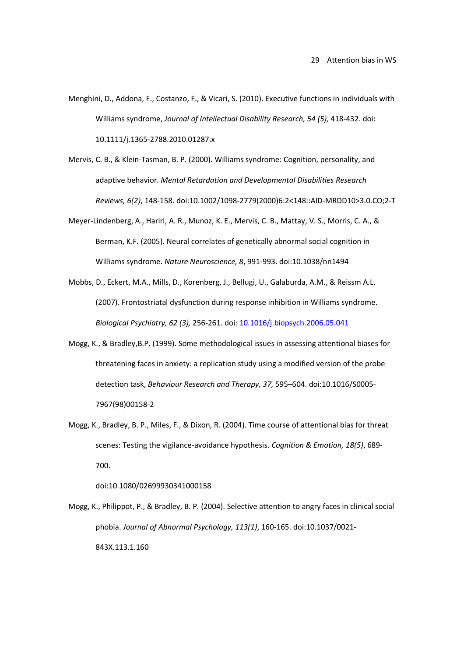- Menghini, D., Addona, F., Costanzo, F., & Vicari, S. (2010). Executive functions in individuals with Williams syndrome, *Journal of Intellectual Disability Research, 54 (5),* 418-432. doi: 10.1111/j.1365-2788.2010.01287.x
- Mervis, C. B., & Klein-Tasman, B. P. (2000). Williams syndrome: Cognition, personality, and adaptive behavior. *Mental Retardation and Developmental Disabilities Research Reviews, 6(2)*, 148-158. doi:10.1002/1098-2779(2000)6:2<148::AID-MRDD10>3.0.CO;2-T
- Meyer-Lindenberg, A., Hariri, A. R., Munoz, K. E., Mervis, C. B., Mattay, V. S., Morris, C. A., & Berman, K.F. (2005). Neural correlates of genetically abnormal social cognition in Williams syndrome. *Nature Neuroscience, 8*, 991-993. doi:10.1038/nn1494
- Mobbs, D., Eckert, M.A., Mills, D., Korenberg, J., Bellugi, U., Galaburda, A.M., & Reissm A.L. (2007). Frontostriatal dysfunction during response inhibition in Williams syndrome. *Biological Psychiatry, 62 (3),* 256-261. doi: 10.1016/j.biopsych.2006.05.041
- Mogg, K., & Bradley,B.P. (1999). Some methodological issues in assessing attentional biases for threatening faces in anxiety: a replication study using a modified version of the probe detection task, *Behaviour Research and Therapy, 37,* 595–604. doi:10.1016/S0005- 7967(98)00158-2
- Mogg, K., Bradley, B. P., Miles, F., & Dixon, R. (2004). Time course of attentional bias for threat scenes: Testing the vigilance-avoidance hypothesis. *Cognition & Emotion, 18(5)*, 689- 700.

doi:10.1080/02699930341000158

Mogg, K., Philippot, P., & Bradley, B. P. (2004). Selective attention to angry faces in clinical social phobia. *Journal of Abnormal Psychology, 113(1)*, 160-165. doi:10.1037/0021- 843X.113.1.160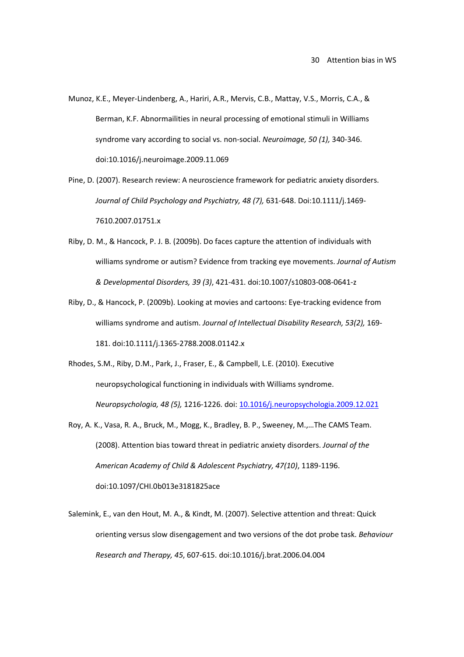- Munoz, K.E., Meyer-Lindenberg, A., Hariri, A.R., Mervis, C.B., Mattay, V.S., Morris, C.A., & Berman, K.F. Abnormailities in neural processing of emotional stimuli in Williams syndrome vary according to social vs. non-social. *Neuroimage, 50 (1),* 340-346. doi:10.1016/j.neuroimage.2009.11.069
- Pine, D. (2007). Research review: A neuroscience framework for pediatric anxiety disorders. *Journal of Child Psychology and Psychiatry, 48 (7),* 631-648. Doi:10.1111/j.1469- 7610.2007.01751.x
- Riby, D. M., & Hancock, P. J. B. (2009b). Do faces capture the attention of individuals with williams syndrome or autism? Evidence from tracking eye movements. *Journal of Autism & Developmental Disorders, 39 (3)*, 421-431. doi:10.1007/s10803-008-0641-z
- Riby, D., & Hancock, P. (2009b). Looking at movies and cartoons: Eye-tracking evidence from williams syndrome and autism. *Journal of Intellectual Disability Research, 53(2),* 169- 181. doi:10.1111/j.1365-2788.2008.01142.x
- Rhodes, S.M., Riby, D.M., Park, J., Fraser, E., & Campbell, L.E. (2010). Executive neuropsychological functioning in individuals with Williams syndrome. *Neuropsychologia, 48 (5),* 1216-1226. doi: 10.1016/j.neuropsychologia.2009.12.021
- Roy, A. K., Vasa, R. A., Bruck, M., Mogg, K., Bradley, B. P., Sweeney, M.,…The CAMS Team. (2008). Attention bias toward threat in pediatric anxiety disorders. *Journal of the American Academy of Child & Adolescent Psychiatry, 47(10)*, 1189-1196. doi:10.1097/CHI.0b013e3181825ace
- Salemink, E., van den Hout, M. A., & Kindt, M. (2007). Selective attention and threat: Quick orienting versus slow disengagement and two versions of the dot probe task. *Behaviour Research and Therapy, 45*, 607-615. doi:10.1016/j.brat.2006.04.004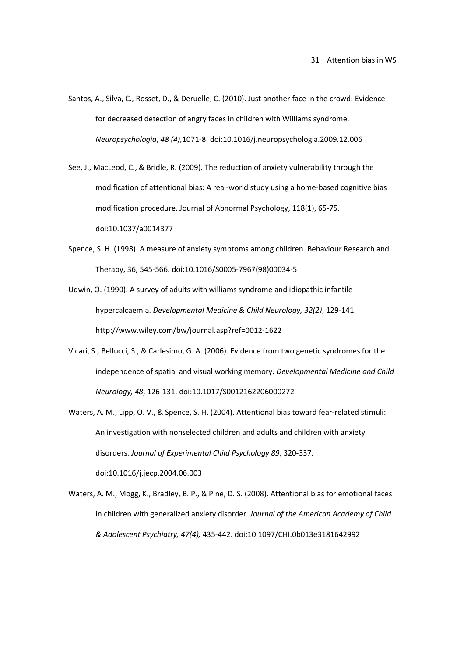Santos, A., Silva, C., Rosset, D., & Deruelle, C. (2010). Just another face in the crowd: Evidence for decreased detection of angry faces in children with Williams syndrome. *Neuropsychologia*, *48 (4),*1071-8. doi:10.1016/j.neuropsychologia.2009.12.006

See, J., MacLeod, C., & Bridle, R. (2009). The reduction of anxiety vulnerability through the modification of attentional bias: A real-world study using a home-based cognitive bias modification procedure. Journal of Abnormal Psychology, 118(1), 65-75. doi:10.1037/a0014377

Spence, S. H. (1998). A measure of anxiety symptoms among children. Behaviour Research and Therapy, 36, 545-566. doi:10.1016/S0005-7967(98)00034-5

Udwin, O. (1990). A survey of adults with williams syndrome and idiopathic infantile hypercalcaemia. *Developmental Medicine & Child Neurology, 32(2)*, 129-141. http://www.wiley.com/bw/journal.asp?ref=0012-1622

- Vicari, S., Bellucci, S., & Carlesimo, G. A. (2006). Evidence from two genetic syndromes for the independence of spatial and visual working memory. *Developmental Medicine and Child Neurology, 48*, 126-131. doi:10.1017/S0012162206000272
- Waters, A. M., Lipp, O. V., & Spence, S. H. (2004). Attentional bias toward fear-related stimuli: An investigation with nonselected children and adults and children with anxiety disorders. *Journal of Experimental Child Psychology 89*, 320-337. doi:10.1016/j.jecp.2004.06.003
- Waters, A. M., Mogg, K., Bradley, B. P., & Pine, D. S. (2008). Attentional bias for emotional faces in children with generalized anxiety disorder. *Journal of the American Academy of Child & Adolescent Psychiatry, 47(4),* 435-442. doi:10.1097/CHI.0b013e3181642992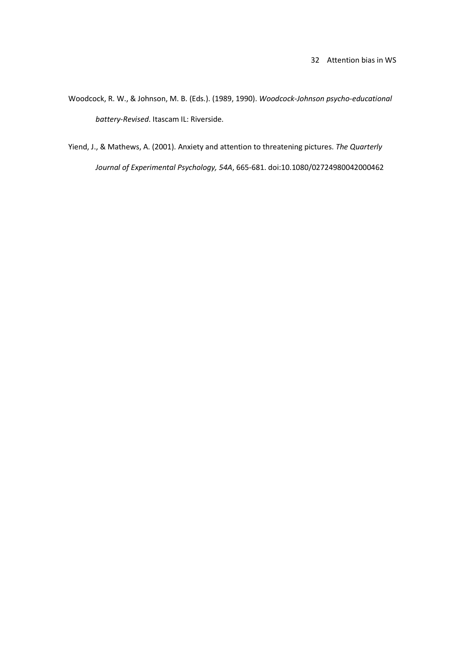- Woodcock, R. W., & Johnson, M. B. (Eds.). (1989, 1990). *Woodcock-Johnson psycho-educational battery-Revised*. Itascam IL: Riverside.
- Yiend, J., & Mathews, A. (2001). Anxiety and attention to threatening pictures. *The Quarterly Journal of Experimental Psychology, 54A*, 665-681. doi:10.1080/02724980042000462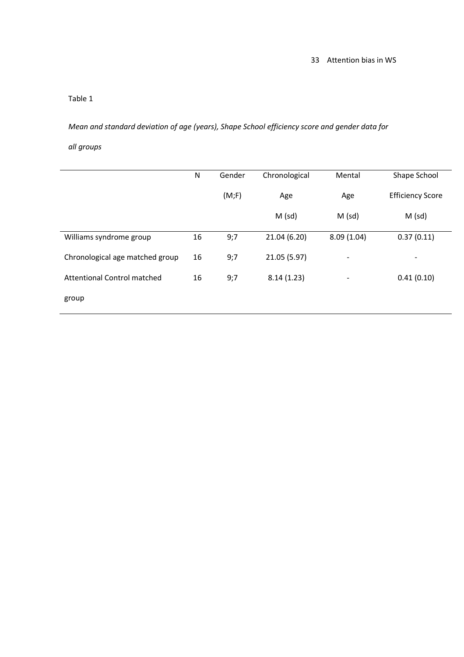# Table 1

*Mean and standard deviation of age (years), Shape School efficiency score and gender data for* 

# *all groups*

|                                 | N  | Gender | Chronological | Mental                   | Shape School            |
|---------------------------------|----|--------|---------------|--------------------------|-------------------------|
|                                 |    | (M;F)  | Age           | Age                      | <b>Efficiency Score</b> |
|                                 |    |        | $M$ (sd)      | $M$ (sd)                 | $M$ (sd)                |
| Williams syndrome group         | 16 | 9;7    | 21.04 (6.20)  | 8.09(1.04)               | 0.37(0.11)              |
| Chronological age matched group | 16 | 9;7    | 21.05 (5.97)  | $\overline{\phantom{a}}$ | -                       |
| Attentional Control matched     | 16 | 9;7    | 8.14(1.23)    | $\overline{\phantom{a}}$ | 0.41(0.10)              |
| group                           |    |        |               |                          |                         |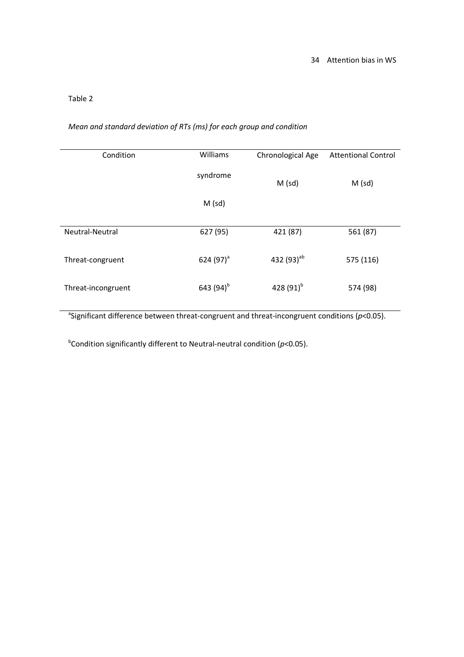# Table 2

# *Mean and standard deviation of RTs (ms) for each group and condition*

| Condition          | Williams       | Chronological Age | <b>Attentional Control</b> |
|--------------------|----------------|-------------------|----------------------------|
|                    | syndrome       | $M$ (sd)          | $M$ (sd)                   |
|                    | $M$ (sd)       |                   |                            |
| Neutral-Neutral    | 627 (95)       | 421 (87)          | 561 (87)                   |
|                    |                |                   |                            |
| Threat-congruent   | 624 $(97)^{a}$ | 432 $(93)^{ab}$   | 575 (116)                  |
| Threat-incongruent | 643 $(94)^{b}$ | 428 $(91)^{b}$    | 574 (98)                   |

a Significant difference between threat-congruent and threat-incongruent conditions (*p*<0.05).

b Condition significantly different to Neutral-neutral condition (*p*<0.05).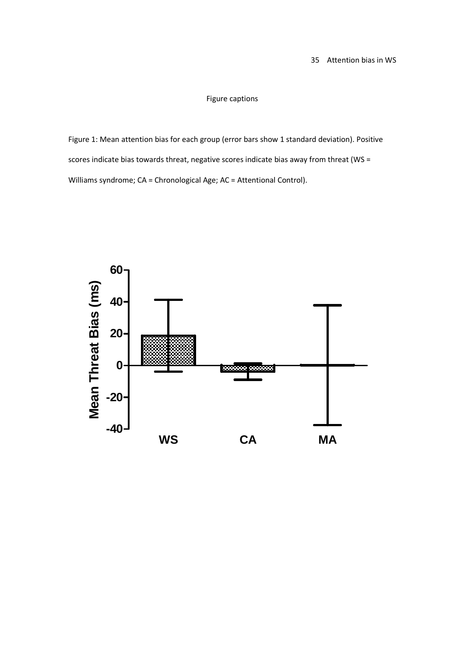# Figure captions

Figure 1: Mean attention bias for each group (error bars show 1 standard deviation). Positive scores indicate bias towards threat, negative scores indicate bias away from threat (WS = Williams syndrome; CA = Chronological Age; AC = Attentional Control).